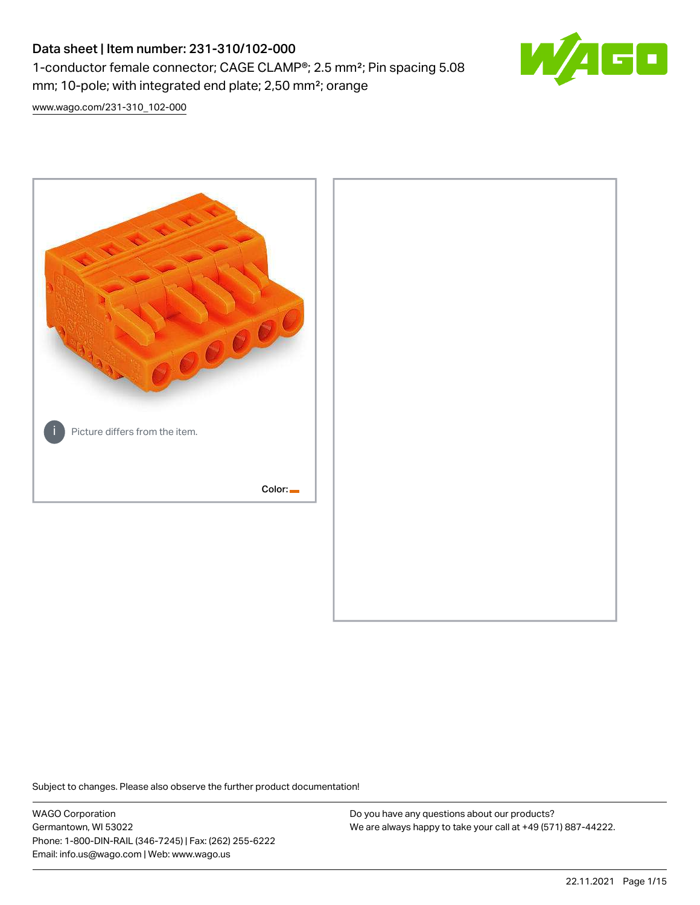# Data sheet | Item number: 231-310/102-000 1-conductor female connector; CAGE CLAMP®; 2.5 mm²; Pin spacing 5.08 mm; 10-pole; with integrated end plate; 2,50 mm²; orange



[www.wago.com/231-310\\_102-000](http://www.wago.com/231-310_102-000)



Subject to changes. Please also observe the further product documentation!

WAGO Corporation Germantown, WI 53022 Phone: 1-800-DIN-RAIL (346-7245) | Fax: (262) 255-6222 Email: info.us@wago.com | Web: www.wago.us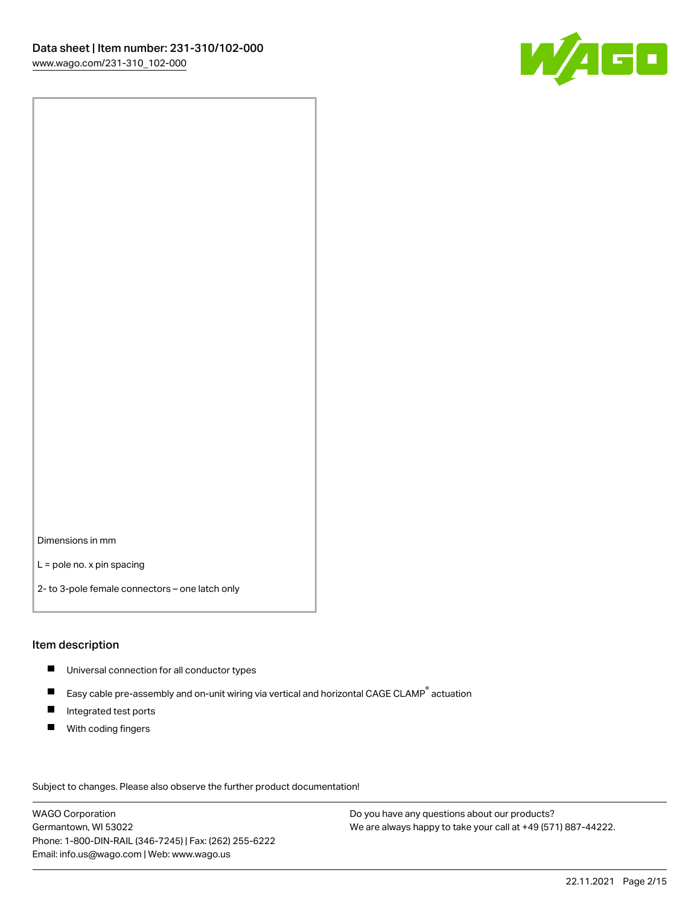

Dimensions in mm

L = pole no. x pin spacing

2- to 3-pole female connectors – one latch only

### Item description

- **Universal connection for all conductor types**
- Easy cable pre-assembly and on-unit wiring via vertical and horizontal CAGE CLAMP<sup>®</sup> actuation  $\blacksquare$
- $\blacksquare$ Integrated test ports
- $\blacksquare$ With coding fingers

Subject to changes. Please also observe the further product documentation! Data

WAGO Corporation Germantown, WI 53022 Phone: 1-800-DIN-RAIL (346-7245) | Fax: (262) 255-6222 Email: info.us@wago.com | Web: www.wago.us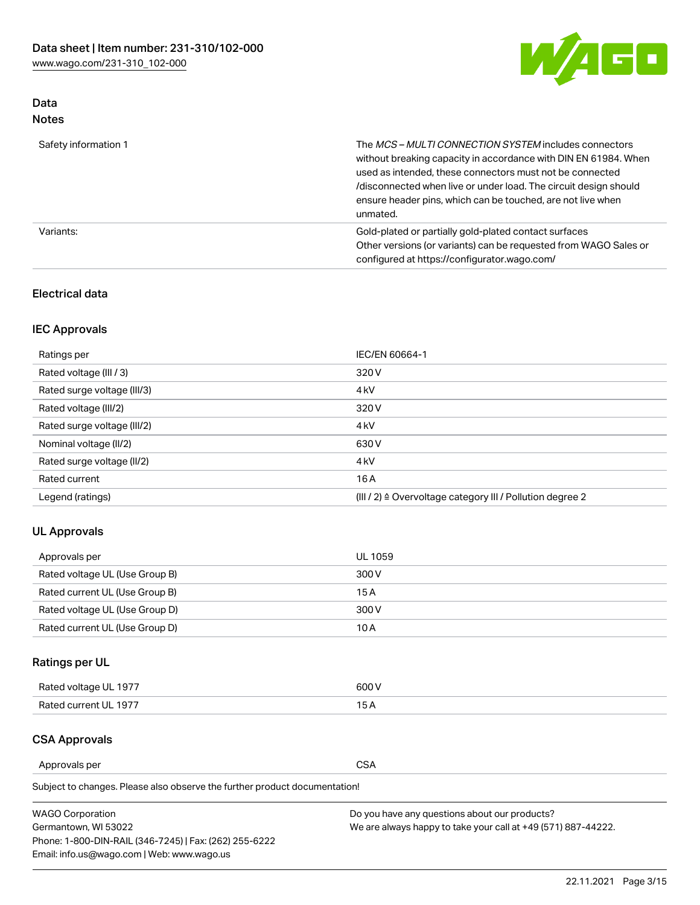

## Data Notes

| Safety information 1 | The <i>MCS – MULTI CONNECTION SYSTEM</i> includes connectors<br>without breaking capacity in accordance with DIN EN 61984. When<br>used as intended, these connectors must not be connected<br>/disconnected when live or under load. The circuit design should<br>ensure header pins, which can be touched, are not live when<br>unmated. |
|----------------------|--------------------------------------------------------------------------------------------------------------------------------------------------------------------------------------------------------------------------------------------------------------------------------------------------------------------------------------------|
| Variants:            | Gold-plated or partially gold-plated contact surfaces<br>Other versions (or variants) can be requested from WAGO Sales or<br>configured at https://configurator.wago.com/                                                                                                                                                                  |

## Electrical data

# IEC Approvals

| Ratings per                 | IEC/EN 60664-1                                                        |
|-----------------------------|-----------------------------------------------------------------------|
| Rated voltage (III / 3)     | 320 V                                                                 |
| Rated surge voltage (III/3) | 4 <sub>k</sub> V                                                      |
| Rated voltage (III/2)       | 320 V                                                                 |
| Rated surge voltage (III/2) | 4 <sub>k</sub> V                                                      |
| Nominal voltage (II/2)      | 630 V                                                                 |
| Rated surge voltage (II/2)  | 4 <sub>k</sub> V                                                      |
| Rated current               | 16A                                                                   |
| Legend (ratings)            | $(III / 2)$ $\triangle$ Overvoltage category III / Pollution degree 2 |

## UL Approvals

| Approvals per                  | UL 1059 |
|--------------------------------|---------|
| Rated voltage UL (Use Group B) | 300 V   |
| Rated current UL (Use Group B) | 15 A    |
| Rated voltage UL (Use Group D) | 300 V   |
| Rated current UL (Use Group D) | 10 A    |

# Ratings per UL

| Rated voltage UL 1977 | 600 V         |
|-----------------------|---------------|
| Rated current UL 1977 | $\sim$ $\sim$ |

## CSA Approvals

Approvals per CSA

| <b>WAGO Corporation</b>                                | Do you have any questions about our products?                 |
|--------------------------------------------------------|---------------------------------------------------------------|
| Germantown, WI 53022                                   | We are always happy to take your call at +49 (571) 887-44222. |
| Phone: 1-800-DIN-RAIL (346-7245)   Fax: (262) 255-6222 |                                                               |
| Email: info.us@wago.com   Web: www.wago.us             |                                                               |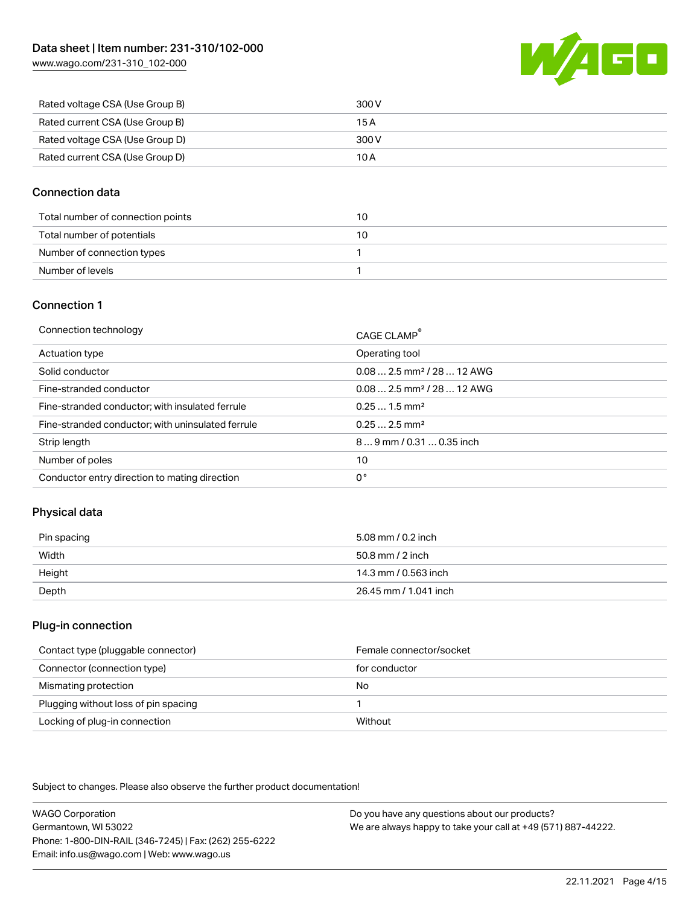[www.wago.com/231-310\\_102-000](http://www.wago.com/231-310_102-000)



| Rated voltage CSA (Use Group B) | 300 V |
|---------------------------------|-------|
| Rated current CSA (Use Group B) | 15 A  |
| Rated voltage CSA (Use Group D) | 300 V |
| Rated current CSA (Use Group D) | 10 A  |

## Connection data

| Total number of connection points | 10 |
|-----------------------------------|----|
| Total number of potentials        | 10 |
| Number of connection types        |    |
| Number of levels                  |    |

## Connection 1

| Connection technology                             | CAGE CLAMP®                             |
|---------------------------------------------------|-----------------------------------------|
| Actuation type                                    | Operating tool                          |
| Solid conductor                                   | $0.082.5$ mm <sup>2</sup> / 28  12 AWG  |
| Fine-stranded conductor                           | $0.08$ 2.5 mm <sup>2</sup> / 28  12 AWG |
| Fine-stranded conductor; with insulated ferrule   | $0.251.5$ mm <sup>2</sup>               |
| Fine-stranded conductor; with uninsulated ferrule | $0.252.5$ mm <sup>2</sup>               |
| Strip length                                      | $89$ mm $/ 0.310.35$ inch               |
| Number of poles                                   | 10                                      |
| Conductor entry direction to mating direction     | 0°                                      |

## Physical data

| Pin spacing | 5.08 mm / 0.2 inch    |
|-------------|-----------------------|
| Width       | 50.8 mm / 2 inch      |
| Height      | 14.3 mm / 0.563 inch  |
| Depth       | 26.45 mm / 1.041 inch |

### Plug-in connection

| Contact type (pluggable connector)   | Female connector/socket |
|--------------------------------------|-------------------------|
| Connector (connection type)          | for conductor           |
| Mismating protection                 | No                      |
| Plugging without loss of pin spacing |                         |
| Locking of plug-in connection        | Without                 |

Subject to changes. Please also observe the further product documentation!

WAGO Corporation Germantown, WI 53022 Phone: 1-800-DIN-RAIL (346-7245) | Fax: (262) 255-6222 Email: info.us@wago.com | Web: www.wago.us Do you have any questions about our products? We are always happy to take your call at +49 (571) 887-44222.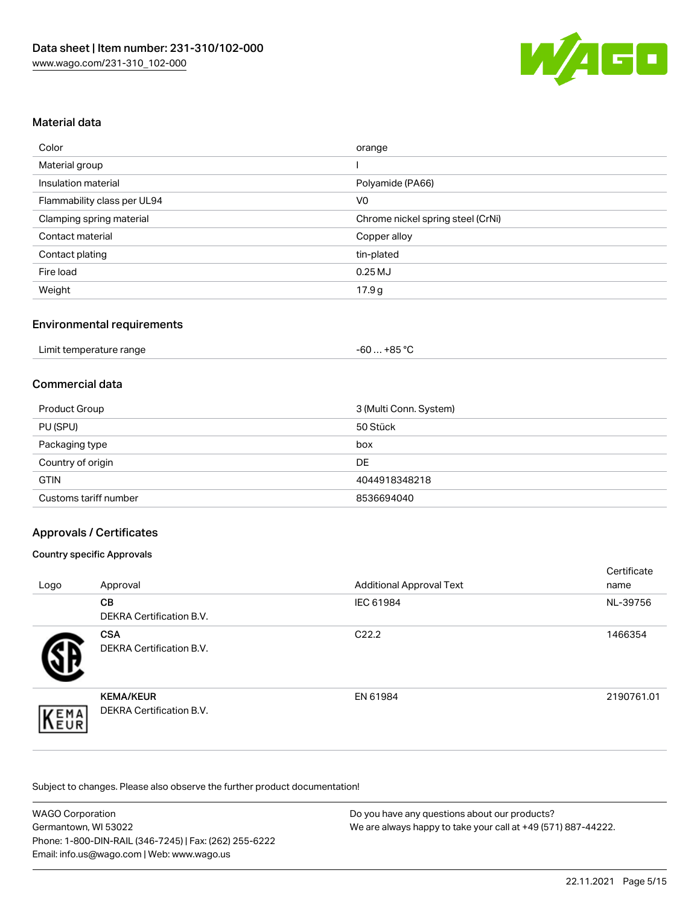

## Material data

| Color                       | orange                            |
|-----------------------------|-----------------------------------|
| Material group              |                                   |
| Insulation material         | Polyamide (PA66)                  |
| Flammability class per UL94 | V <sub>0</sub>                    |
| Clamping spring material    | Chrome nickel spring steel (CrNi) |
| Contact material            | Copper alloy                      |
| Contact plating             | tin-plated                        |
| Fire load                   | $0.25$ MJ                         |
| Weight                      | 17.9g                             |

## Environmental requirements

| Limit temperature range                                                                                                                                                                                                              | . +85 °Ր |
|--------------------------------------------------------------------------------------------------------------------------------------------------------------------------------------------------------------------------------------|----------|
|                                                                                                                                                                                                                                      | -60 …    |
| $\blacksquare$ . The contract of the contract of the contract of the contract of the contract of the contract of the contract of the contract of the contract of the contract of the contract of the contract of the contract of the |          |

## Commercial data

| Product Group         | 3 (Multi Conn. System) |
|-----------------------|------------------------|
| PU (SPU)              | 50 Stück               |
| Packaging type        | box                    |
| Country of origin     | DE                     |
| <b>GTIN</b>           | 4044918348218          |
| Customs tariff number | 8536694040             |

## Approvals / Certificates

#### Country specific Approvals

| Logo | Approval                                            | <b>Additional Approval Text</b> | Certificate<br>name |
|------|-----------------------------------------------------|---------------------------------|---------------------|
|      | <b>CB</b><br><b>DEKRA Certification B.V.</b>        | IEC 61984                       | NL-39756            |
|      | <b>CSA</b><br>DEKRA Certification B.V.              | C <sub>22.2</sub>               | 1466354             |
| EMA  | <b>KEMA/KEUR</b><br><b>DEKRA Certification B.V.</b> | EN 61984                        | 2190761.01          |

| <b>WAGO Corporation</b>                                | Do you have any questions about our products?                 |
|--------------------------------------------------------|---------------------------------------------------------------|
| Germantown, WI 53022                                   | We are always happy to take your call at +49 (571) 887-44222. |
| Phone: 1-800-DIN-RAIL (346-7245)   Fax: (262) 255-6222 |                                                               |
| Email: info.us@wago.com   Web: www.wago.us             |                                                               |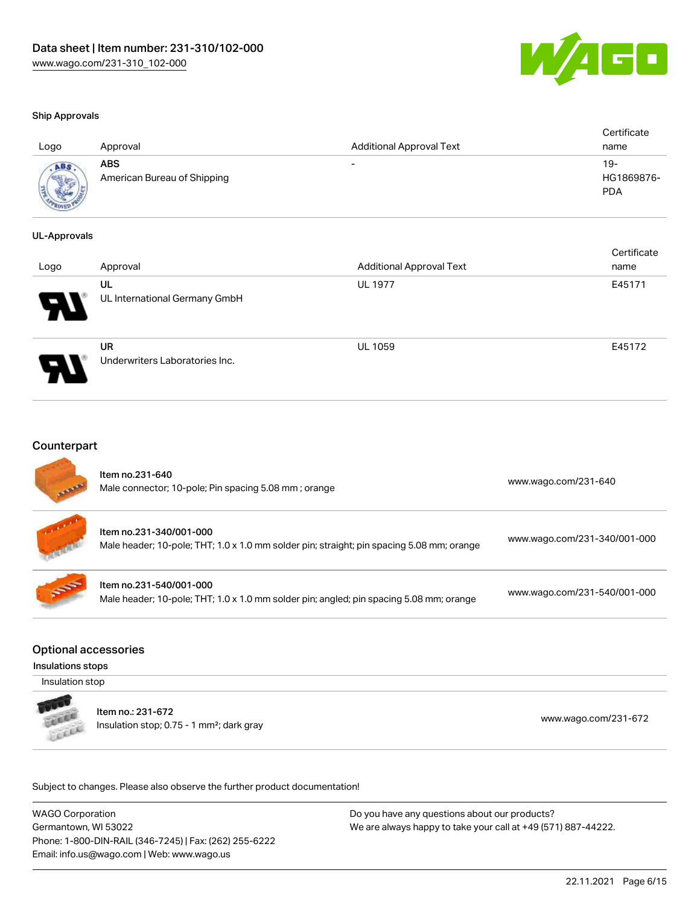

certificate de la contradición de la contradición de la contradición de la contradición de la contradición de<br>Contradición de la contradición de la contradición de la contradición de la contradición de la contradición de

#### Ship Approvals

| Logo        | Approval                           | <b>Additional Approval Text</b> | Certificate<br>name             |
|-------------|------------------------------------|---------------------------------|---------------------------------|
| <b>ADAR</b> | ABS<br>American Bureau of Shipping | -                               | 19-<br>HG1869876-<br><b>PDA</b> |

#### UL-Approvals

| Logo | Approval                             | <b>Additional Approval Text</b> | Certificate<br>name |
|------|--------------------------------------|---------------------------------|---------------------|
| Р.   | UL<br>UL International Germany GmbH  | <b>UL 1977</b>                  | E45171              |
|      | UR<br>Underwriters Laboratories Inc. | <b>UL 1059</b>                  | E45172              |

#### **Counterpart**

| <b>SERVICE OF</b> | Item no.231-640<br>Male connector; 10-pole; Pin spacing 5.08 mm; orange                                              | www.wago.com/231-640         |
|-------------------|----------------------------------------------------------------------------------------------------------------------|------------------------------|
|                   | Item no.231-340/001-000<br>Male header; 10-pole; THT; 1.0 x 1.0 mm solder pin; straight; pin spacing 5.08 mm; orange | www.wago.com/231-340/001-000 |
| <b>SEP</b>        | Item no.231-540/001-000<br>Male header; 10-pole; THT; 1.0 x 1.0 mm solder pin; angled; pin spacing 5.08 mm; orange   | www.wago.com/231-540/001-000 |

#### Optional accessories

#### Insulations stops

Insulation stop



Item no.: 231-672 Insulation stop; 0.75 - 1 mm²; dark gray [www.wago.com/231-672](http://www.wago.com/231-672)

Subject to changes. Please also observe the further product documentation!

WAGO Corporation Germantown, WI 53022 Phone: 1-800-DIN-RAIL (346-7245) | Fax: (262) 255-6222 Email: info.us@wago.com | Web: www.wago.us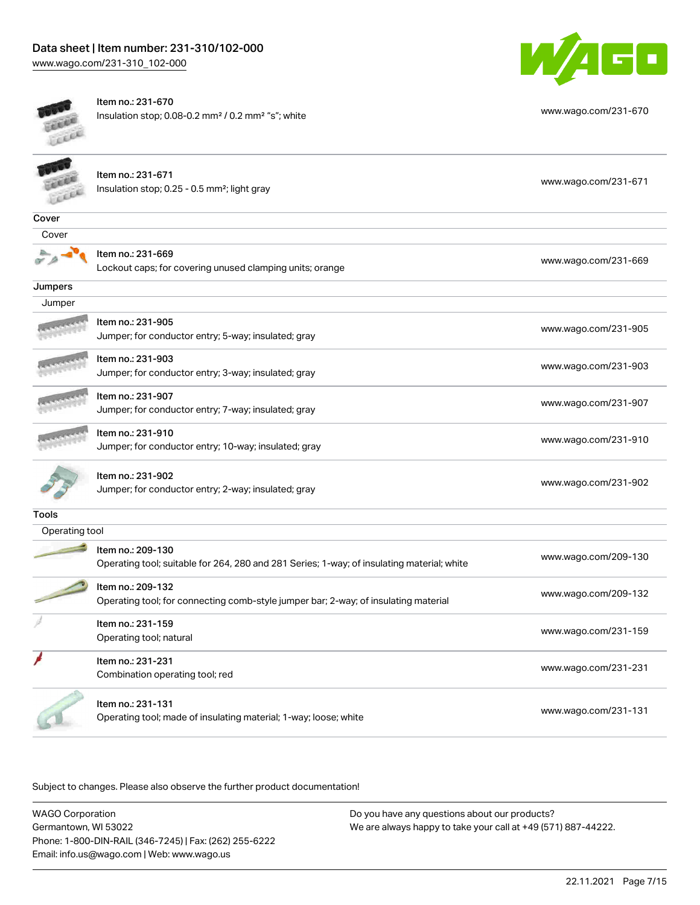



Item no.: 231-670 Insulation stop; 0.08-0.2 mm<sup>2</sup> / 0.2 mm<sup>2</sup> "s"; white [www.wago.com/231-670](http://www.wago.com/231-670)

| <b>CARD</b>    | Item no.: 231-671<br>Insulation stop; 0.25 - 0.5 mm <sup>2</sup> ; light gray                                   | www.wago.com/231-671 |
|----------------|-----------------------------------------------------------------------------------------------------------------|----------------------|
| Cover          |                                                                                                                 |                      |
| Cover          |                                                                                                                 |                      |
|                | Item no.: 231-669<br>Lockout caps; for covering unused clamping units; orange                                   | www.wago.com/231-669 |
| Jumpers        |                                                                                                                 |                      |
| Jumper         |                                                                                                                 |                      |
|                | Item no.: 231-905<br>Jumper; for conductor entry; 5-way; insulated; gray                                        | www.wago.com/231-905 |
|                | Item no.: 231-903<br>Jumper; for conductor entry; 3-way; insulated; gray                                        | www.wago.com/231-903 |
|                | Item no.: 231-907<br>Jumper; for conductor entry; 7-way; insulated; gray                                        | www.wago.com/231-907 |
|                | Item no.: 231-910<br>Jumper; for conductor entry; 10-way; insulated; gray                                       | www.wago.com/231-910 |
|                | Item no.: 231-902<br>Jumper; for conductor entry; 2-way; insulated; gray                                        | www.wago.com/231-902 |
| <b>Tools</b>   |                                                                                                                 |                      |
| Operating tool |                                                                                                                 |                      |
|                | Item no.: 209-130<br>Operating tool; suitable for 264, 280 and 281 Series; 1-way; of insulating material; white | www.wago.com/209-130 |
|                | Item no.: 209-132<br>Operating tool; for connecting comb-style jumper bar; 2-way; of insulating material        | www.wago.com/209-132 |
|                | Item no.: 231-159<br>Operating tool; natural                                                                    | www.wago.com/231-159 |
|                | Item no.: 231-231<br>Combination operating tool; red                                                            | www.wago.com/231-231 |
|                | Item no.: 231-131<br>Operating tool; made of insulating material; 1-way; loose; white                           | www.wago.com/231-131 |

| WAGO Corporation                                       | Do you have any questions about our products?                 |
|--------------------------------------------------------|---------------------------------------------------------------|
| Germantown, WI 53022                                   | We are always happy to take your call at +49 (571) 887-44222. |
| Phone: 1-800-DIN-RAIL (346-7245)   Fax: (262) 255-6222 |                                                               |
| Email: info.us@wago.com   Web: www.wago.us             |                                                               |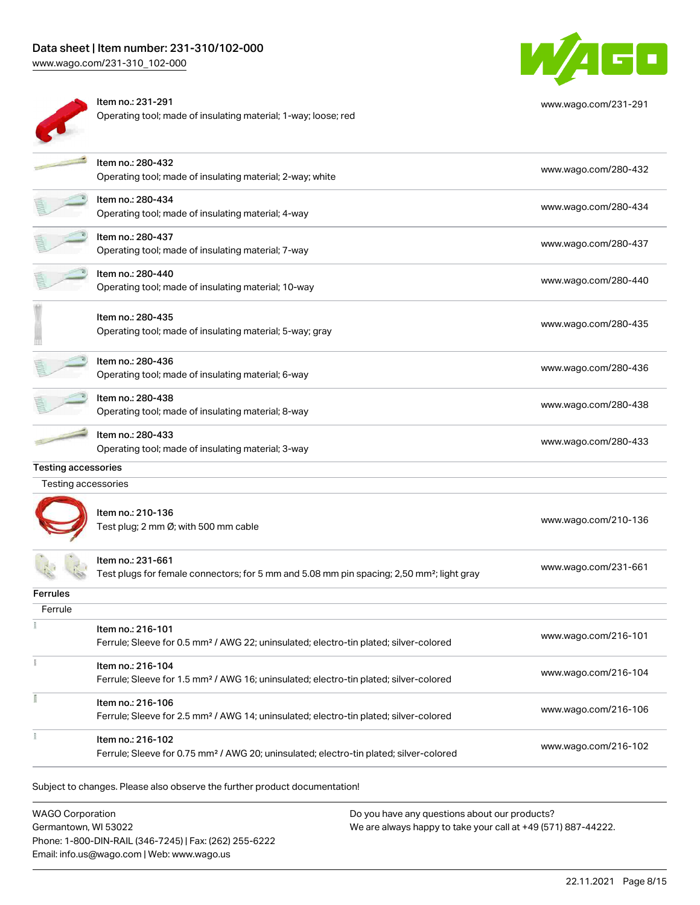# Data sheet | Item number: 231-310/102-000

[www.wago.com/231-310\\_102-000](http://www.wago.com/231-310_102-000)



Item no.: 231-291 Operating tool; made of insulating material; 1-way; loose; red



[www.wago.com/231-291](http://www.wago.com/231-291)

|                                                   | Item no.: 280-432                                                                                     | www.wago.com/280-432 |
|---------------------------------------------------|-------------------------------------------------------------------------------------------------------|----------------------|
|                                                   | Operating tool; made of insulating material; 2-way; white                                             |                      |
|                                                   | Item no.: 280-434                                                                                     | www.wago.com/280-434 |
|                                                   | Operating tool; made of insulating material; 4-way                                                    |                      |
|                                                   | Item no.: 280-437                                                                                     | www.wago.com/280-437 |
|                                                   | Operating tool; made of insulating material; 7-way                                                    |                      |
|                                                   | Item no.: 280-440                                                                                     | www.wago.com/280-440 |
|                                                   | Operating tool; made of insulating material; 10-way                                                   |                      |
|                                                   | Item no.: 280-435                                                                                     |                      |
|                                                   | Operating tool; made of insulating material; 5-way; gray                                              | www.wago.com/280-435 |
|                                                   |                                                                                                       |                      |
|                                                   | Item no.: 280-436                                                                                     | www.wago.com/280-436 |
|                                                   | Operating tool; made of insulating material; 6-way                                                    |                      |
|                                                   | Item no.: 280-438                                                                                     | www.wago.com/280-438 |
|                                                   | Operating tool; made of insulating material; 8-way                                                    |                      |
|                                                   | Item no.: 280-433                                                                                     | www.wago.com/280-433 |
|                                                   | Operating tool; made of insulating material; 3-way                                                    |                      |
|                                                   |                                                                                                       |                      |
|                                                   |                                                                                                       |                      |
| <b>Testing accessories</b><br>Testing accessories |                                                                                                       |                      |
|                                                   | Item no.: 210-136                                                                                     |                      |
|                                                   | Test plug; 2 mm Ø; with 500 mm cable                                                                  | www.wago.com/210-136 |
|                                                   |                                                                                                       |                      |
|                                                   | ltem no.: 231-661                                                                                     |                      |
|                                                   | Test plugs for female connectors; for 5 mm and 5.08 mm pin spacing; 2,50 mm <sup>2</sup> ; light gray | www.wago.com/231-661 |
|                                                   |                                                                                                       |                      |
| Ferrule                                           |                                                                                                       |                      |
|                                                   | Item no.: 216-101                                                                                     |                      |
|                                                   | Ferrule; Sleeve for 0.5 mm <sup>2</sup> / AWG 22; uninsulated; electro-tin plated; silver-colored     | www.wago.com/216-101 |
|                                                   | Item no.: 216-104                                                                                     |                      |
|                                                   | Ferrule; Sleeve for 1.5 mm <sup>2</sup> / AWG 16; uninsulated; electro-tin plated; silver-colored     | www.wago.com/216-104 |
|                                                   | Item no.: 216-106                                                                                     |                      |
|                                                   | Ferrule; Sleeve for 2.5 mm <sup>2</sup> / AWG 14; uninsulated; electro-tin plated; silver-colored     | www.wago.com/216-106 |
| <b>Ferrules</b>                                   | Item no.: 216-102                                                                                     | www.wago.com/216-102 |

WAGO Corporation Germantown, WI 53022 Phone: 1-800-DIN-RAIL (346-7245) | Fax: (262) 255-6222 Email: info.us@wago.com | Web: www.wago.us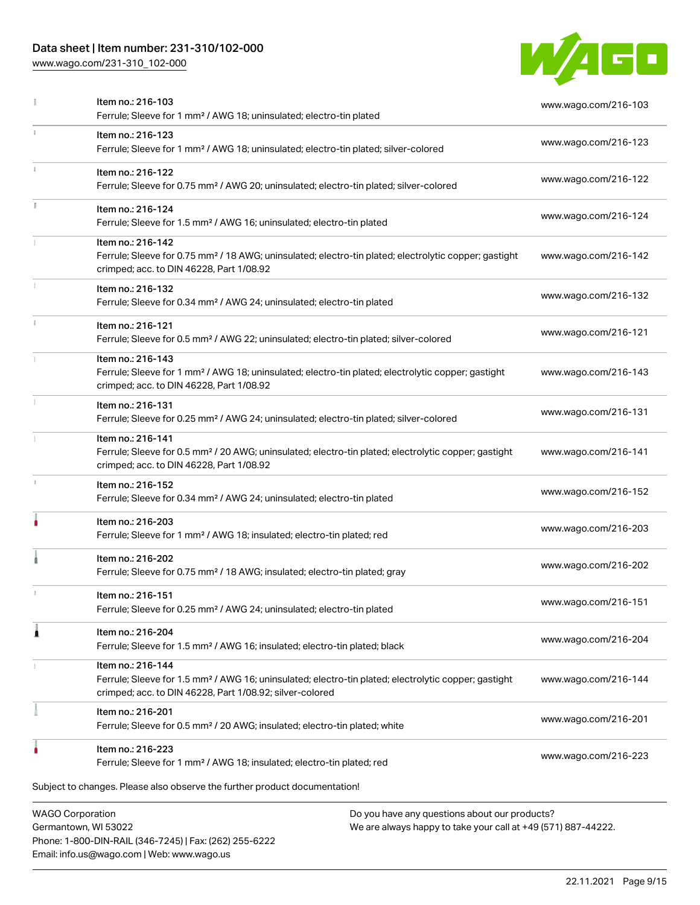## Data sheet | Item number: 231-310/102-000

Phone: 1-800-DIN-RAIL (346-7245) | Fax: (262) 255-6222

Email: info.us@wago.com | Web: www.wago.us

[www.wago.com/231-310\\_102-000](http://www.wago.com/231-310_102-000)



| Item no.: 216-103<br>Ferrule; Sleeve for 1 mm <sup>2</sup> / AWG 18; uninsulated; electro-tin plated                                                                                              | www.wago.com/216-103                                                                                           |  |
|---------------------------------------------------------------------------------------------------------------------------------------------------------------------------------------------------|----------------------------------------------------------------------------------------------------------------|--|
| Item no.: 216-123<br>Ferrule; Sleeve for 1 mm <sup>2</sup> / AWG 18; uninsulated; electro-tin plated; silver-colored                                                                              | www.wago.com/216-123                                                                                           |  |
| Item no.: 216-122<br>Ferrule; Sleeve for 0.75 mm <sup>2</sup> / AWG 20; uninsulated; electro-tin plated; silver-colored                                                                           | www.wago.com/216-122                                                                                           |  |
| Item no.: 216-124<br>Ferrule; Sleeve for 1.5 mm <sup>2</sup> / AWG 16; uninsulated; electro-tin plated                                                                                            | www.wago.com/216-124                                                                                           |  |
| Item no.: 216-142<br>Ferrule; Sleeve for 0.75 mm <sup>2</sup> / 18 AWG; uninsulated; electro-tin plated; electrolytic copper; gastight<br>crimped; acc. to DIN 46228, Part 1/08.92                | www.wago.com/216-142                                                                                           |  |
| Item no.: 216-132<br>Ferrule; Sleeve for 0.34 mm <sup>2</sup> / AWG 24; uninsulated; electro-tin plated                                                                                           | www.wago.com/216-132                                                                                           |  |
| Item no.: 216-121<br>Ferrule; Sleeve for 0.5 mm <sup>2</sup> / AWG 22; uninsulated; electro-tin plated; silver-colored                                                                            | www.wago.com/216-121                                                                                           |  |
| Item no.: 216-143<br>Ferrule; Sleeve for 1 mm <sup>2</sup> / AWG 18; uninsulated; electro-tin plated; electrolytic copper; gastight<br>crimped; acc. to DIN 46228, Part 1/08.92                   | www.wago.com/216-143                                                                                           |  |
| Item no.: 216-131<br>Ferrule; Sleeve for 0.25 mm <sup>2</sup> / AWG 24; uninsulated; electro-tin plated; silver-colored                                                                           | www.wago.com/216-131                                                                                           |  |
| Item no.: 216-141<br>Ferrule; Sleeve for 0.5 mm <sup>2</sup> / 20 AWG; uninsulated; electro-tin plated; electrolytic copper; gastight<br>crimped; acc. to DIN 46228, Part 1/08.92                 | www.wago.com/216-141                                                                                           |  |
| Item no.: 216-152<br>Ferrule; Sleeve for 0.34 mm <sup>2</sup> / AWG 24; uninsulated; electro-tin plated                                                                                           | www.wago.com/216-152                                                                                           |  |
| Item no.: 216-203<br>Ferrule; Sleeve for 1 mm <sup>2</sup> / AWG 18; insulated; electro-tin plated; red                                                                                           | www.wago.com/216-203                                                                                           |  |
| Item no.: 216-202<br>Ferrule; Sleeve for 0.75 mm <sup>2</sup> / 18 AWG; insulated; electro-tin plated; gray                                                                                       | www.wago.com/216-202                                                                                           |  |
| Item no.: 216-151<br>Ferrule; Sleeve for 0.25 mm <sup>2</sup> / AWG 24; uninsulated; electro-tin plated                                                                                           | www.wago.com/216-151                                                                                           |  |
| Item no.: 216-204<br>Ferrule; Sleeve for 1.5 mm <sup>2</sup> / AWG 16; insulated; electro-tin plated; black                                                                                       | www.wago.com/216-204                                                                                           |  |
| Item no.: 216-144<br>Ferrule; Sleeve for 1.5 mm <sup>2</sup> / AWG 16; uninsulated; electro-tin plated; electrolytic copper; gastight<br>crimped; acc. to DIN 46228, Part 1/08.92; silver-colored | www.wago.com/216-144                                                                                           |  |
| Item no.: 216-201<br>Ferrule; Sleeve for 0.5 mm <sup>2</sup> / 20 AWG; insulated; electro-tin plated; white                                                                                       | www.wago.com/216-201                                                                                           |  |
| Item no.: 216-223<br>Ferrule; Sleeve for 1 mm <sup>2</sup> / AWG 18; insulated; electro-tin plated; red                                                                                           | www.wago.com/216-223                                                                                           |  |
| Subject to changes. Please also observe the further product documentation!                                                                                                                        |                                                                                                                |  |
| <b>WAGO Corporation</b><br>Germantown, WI 53022                                                                                                                                                   | Do you have any questions about our products?<br>We are always happy to take your call at +49 (571) 887-44222. |  |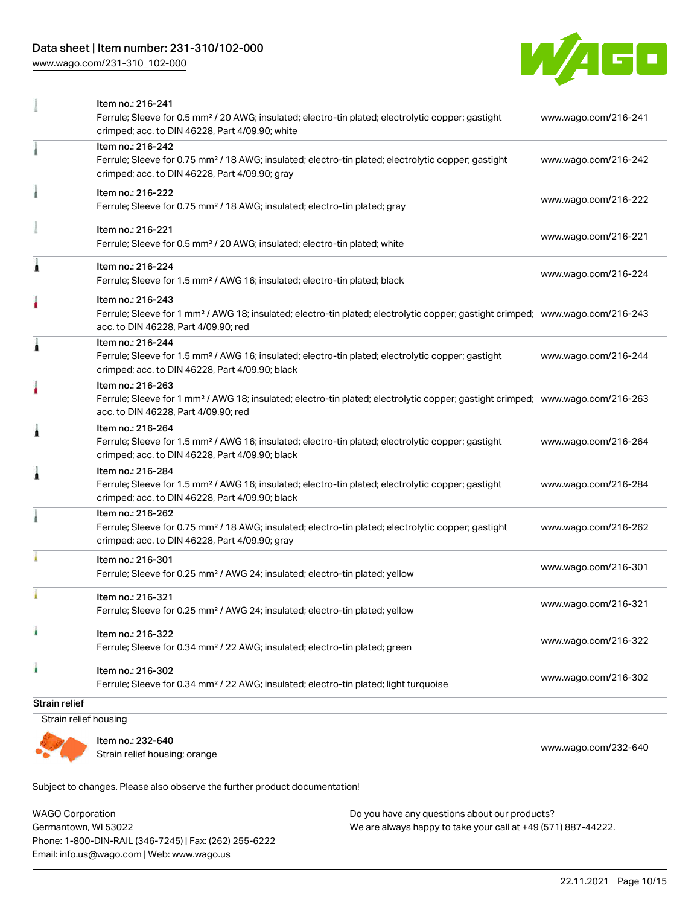## Data sheet | Item number: 231-310/102-000

[www.wago.com/231-310\\_102-000](http://www.wago.com/231-310_102-000)



|                       | Item no.: 216-241<br>Ferrule; Sleeve for 0.5 mm <sup>2</sup> / 20 AWG; insulated; electro-tin plated; electrolytic copper; gastight<br>crimped; acc. to DIN 46228, Part 4/09.90; white                  | www.wago.com/216-241 |
|-----------------------|---------------------------------------------------------------------------------------------------------------------------------------------------------------------------------------------------------|----------------------|
|                       | Item no.: 216-242<br>Ferrule; Sleeve for 0.75 mm <sup>2</sup> / 18 AWG; insulated; electro-tin plated; electrolytic copper; gastight<br>crimped; acc. to DIN 46228, Part 4/09.90; gray                  | www.wago.com/216-242 |
|                       | Item no.: 216-222<br>Ferrule; Sleeve for 0.75 mm <sup>2</sup> / 18 AWG; insulated; electro-tin plated; gray                                                                                             | www.wago.com/216-222 |
|                       | Item no.: 216-221<br>Ferrule; Sleeve for 0.5 mm <sup>2</sup> / 20 AWG; insulated; electro-tin plated; white                                                                                             | www.wago.com/216-221 |
| Ă                     | Item no.: 216-224<br>Ferrule; Sleeve for 1.5 mm <sup>2</sup> / AWG 16; insulated; electro-tin plated; black                                                                                             | www.wago.com/216-224 |
|                       | Item no.: 216-243<br>Ferrule; Sleeve for 1 mm <sup>2</sup> / AWG 18; insulated; electro-tin plated; electrolytic copper; gastight crimped; www.wago.com/216-243<br>acc. to DIN 46228, Part 4/09.90; red |                      |
| Â                     | Item no.: 216-244<br>Ferrule; Sleeve for 1.5 mm <sup>2</sup> / AWG 16; insulated; electro-tin plated; electrolytic copper; gastight<br>crimped; acc. to DIN 46228, Part 4/09.90; black                  | www.wago.com/216-244 |
|                       | Item no.: 216-263<br>Ferrule; Sleeve for 1 mm <sup>2</sup> / AWG 18; insulated; electro-tin plated; electrolytic copper; gastight crimped; www.wago.com/216-263<br>acc. to DIN 46228, Part 4/09.90; red |                      |
| 1                     | Item no.: 216-264<br>Ferrule; Sleeve for 1.5 mm <sup>2</sup> / AWG 16; insulated; electro-tin plated; electrolytic copper; gastight<br>crimped; acc. to DIN 46228, Part 4/09.90; black                  | www.wago.com/216-264 |
| Â                     | Item no.: 216-284<br>Ferrule; Sleeve for 1.5 mm <sup>2</sup> / AWG 16; insulated; electro-tin plated; electrolytic copper; gastight<br>crimped; acc. to DIN 46228, Part 4/09.90; black                  | www.wago.com/216-284 |
|                       | Item no.: 216-262<br>Ferrule; Sleeve for 0.75 mm <sup>2</sup> / 18 AWG; insulated; electro-tin plated; electrolytic copper; gastight<br>crimped; acc. to DIN 46228, Part 4/09.90; gray                  | www.wago.com/216-262 |
|                       | Item no.: 216-301<br>Ferrule; Sleeve for 0.25 mm <sup>2</sup> / AWG 24; insulated; electro-tin plated; yellow                                                                                           | www.wago.com/216-301 |
|                       | Item no.: 216-321<br>Ferrule; Sleeve for 0.25 mm <sup>2</sup> / AWG 24; insulated; electro-tin plated; yellow                                                                                           | www.wago.com/216-321 |
|                       | Item no.: 216-322<br>Ferrule; Sleeve for 0.34 mm <sup>2</sup> / 22 AWG; insulated; electro-tin plated; green                                                                                            | www.wago.com/216-322 |
|                       | Item no.: 216-302<br>Ferrule; Sleeve for 0.34 mm <sup>2</sup> / 22 AWG; insulated; electro-tin plated; light turquoise                                                                                  | www.wago.com/216-302 |
| Strain relief         |                                                                                                                                                                                                         |                      |
| Strain relief housing |                                                                                                                                                                                                         |                      |
|                       | Item no.: 232-640<br>Strain relief housing; orange                                                                                                                                                      | www.wago.com/232-640 |

WAGO Corporation Germantown, WI 53022 Phone: 1-800-DIN-RAIL (346-7245) | Fax: (262) 255-6222 Email: info.us@wago.com | Web: www.wago.us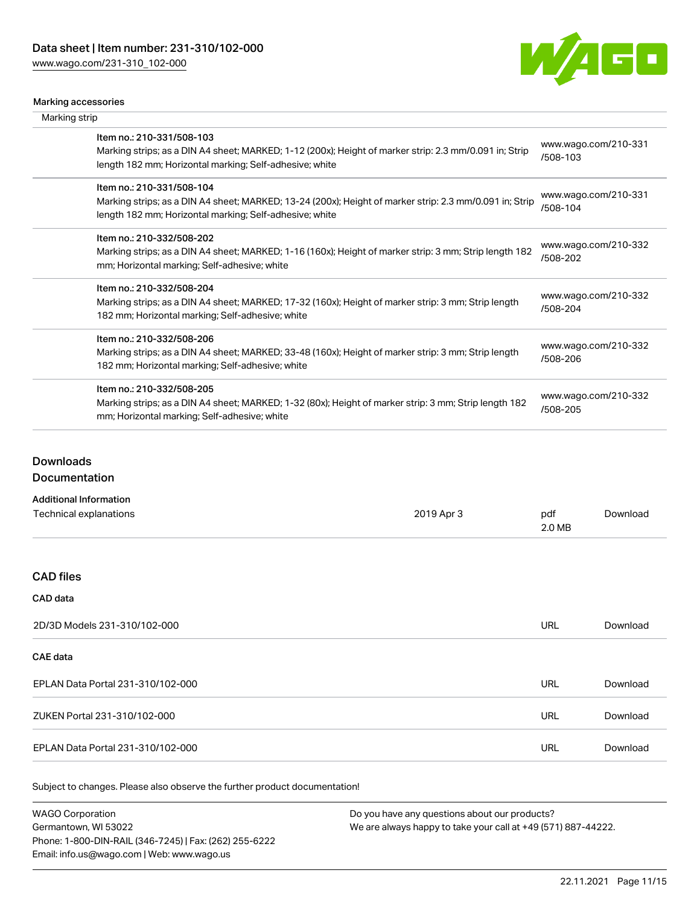[www.wago.com/231-310\\_102-000](http://www.wago.com/231-310_102-000)



#### Marking accessories

| Marking strip                                                                                                                                                                                   |                                  |
|-------------------------------------------------------------------------------------------------------------------------------------------------------------------------------------------------|----------------------------------|
| Item no.: 210-331/508-103<br>Marking strips; as a DIN A4 sheet; MARKED; 1-12 (200x); Height of marker strip: 2.3 mm/0.091 in; Strip<br>length 182 mm; Horizontal marking; Self-adhesive; white  | www.wago.com/210-331<br>/508-103 |
| Item no.: 210-331/508-104<br>Marking strips; as a DIN A4 sheet; MARKED; 13-24 (200x); Height of marker strip: 2.3 mm/0.091 in; Strip<br>length 182 mm; Horizontal marking; Self-adhesive; white | www.wago.com/210-331<br>/508-104 |
| Item no.: 210-332/508-202<br>Marking strips; as a DIN A4 sheet; MARKED; 1-16 (160x); Height of marker strip: 3 mm; Strip length 182<br>mm; Horizontal marking; Self-adhesive; white             | www.wago.com/210-332<br>/508-202 |
| Item no.: 210-332/508-204<br>Marking strips; as a DIN A4 sheet; MARKED; 17-32 (160x); Height of marker strip: 3 mm; Strip length<br>182 mm; Horizontal marking; Self-adhesive; white            | www.wago.com/210-332<br>/508-204 |
| Item no.: 210-332/508-206<br>Marking strips; as a DIN A4 sheet; MARKED; 33-48 (160x); Height of marker strip: 3 mm; Strip length<br>182 mm; Horizontal marking; Self-adhesive; white            | www.wago.com/210-332<br>/508-206 |
| Item no.: 210-332/508-205<br>Marking strips; as a DIN A4 sheet; MARKED; 1-32 (80x); Height of marker strip: 3 mm; Strip length 182<br>mm; Horizontal marking; Self-adhesive; white              | www.wago.com/210-332<br>/508-205 |

# Downloads

# Documentation

| <b>Additional Information</b> |            |               |          |
|-------------------------------|------------|---------------|----------|
| Technical explanations        | 2019 Apr 3 | pdf<br>2.0 MB | Download |
|                               |            |               |          |

## CAD files

# CAD data

| 2D/3D Models 231-310/102-000      | URL | Download |
|-----------------------------------|-----|----------|
| <b>CAE data</b>                   |     |          |
| EPLAN Data Portal 231-310/102-000 | URL | Download |
| ZUKEN Portal 231-310/102-000      | URL | Download |
| EPLAN Data Portal 231-310/102-000 | URL | Download |

| <b>WAGO Corporation</b>                                | Do you have any questions about our products?                 |
|--------------------------------------------------------|---------------------------------------------------------------|
| Germantown, WI 53022                                   | We are always happy to take your call at +49 (571) 887-44222. |
| Phone: 1-800-DIN-RAIL (346-7245)   Fax: (262) 255-6222 |                                                               |
| Email: info.us@wago.com   Web: www.wago.us             |                                                               |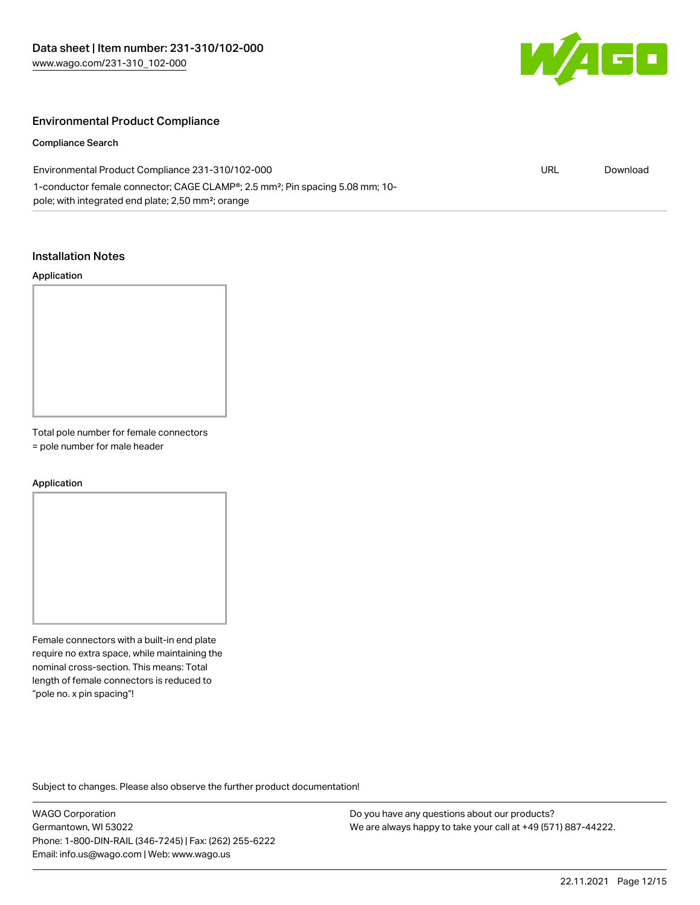

### Environmental Product Compliance

#### Compliance Search

| Environmental Product Compliance 231-310/102-000                                                                                                                         | URL | Download |
|--------------------------------------------------------------------------------------------------------------------------------------------------------------------------|-----|----------|
| 1-conductor female connector; CAGE CLAMP <sup>®</sup> ; 2.5 mm <sup>2</sup> ; Pin spacing 5.08 mm; 10-<br>pole; with integrated end plate; 2,50 mm <sup>2</sup> ; orange |     |          |

#### Installation Notes

#### Application

Total pole number for female connectors

= pole number for male header

#### Application

Female connectors with a built-in end plate require no extra space, while maintaining the nominal cross-section. This means: Total length of female connectors is reduced to "pole no. x pin spacing"!

Subject to changes. Please also observe the further product documentation!

WAGO Corporation Germantown, WI 53022 Phone: 1-800-DIN-RAIL (346-7245) | Fax: (262) 255-6222 Email: info.us@wago.com | Web: www.wago.us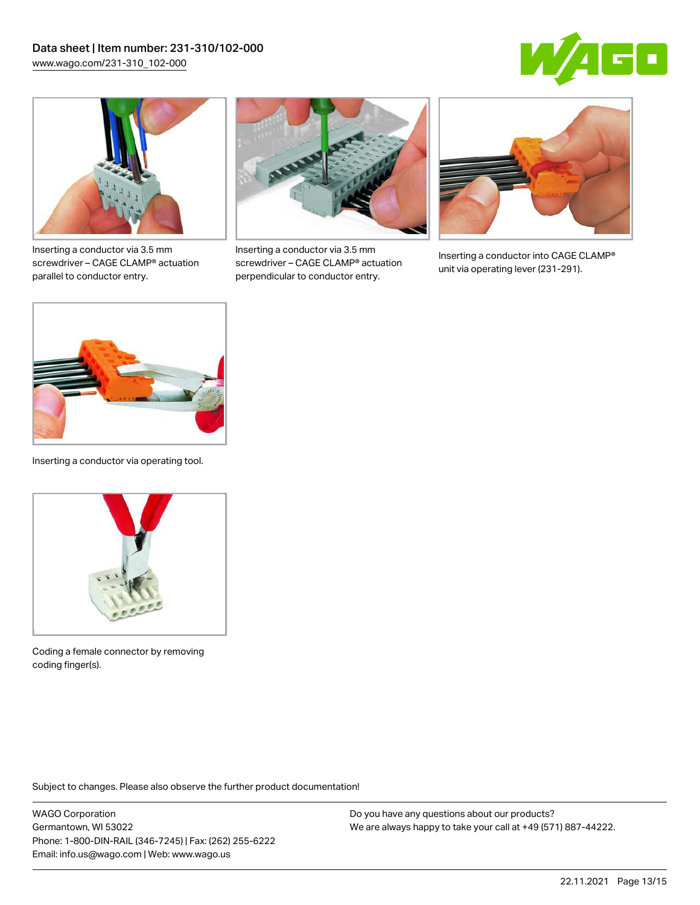



Inserting a conductor via 3.5 mm screwdriver – CAGE CLAMP® actuation parallel to conductor entry.



Inserting a conductor via 3.5 mm screwdriver – CAGE CLAMP® actuation perpendicular to conductor entry.



Inserting a conductor into CAGE CLAMP® unit via operating lever (231-291).



Inserting a conductor via operating tool.



Coding a female connector by removing coding finger(s).

Subject to changes. Please also observe the further product documentation!

WAGO Corporation Germantown, WI 53022 Phone: 1-800-DIN-RAIL (346-7245) | Fax: (262) 255-6222 Email: info.us@wago.com | Web: www.wago.us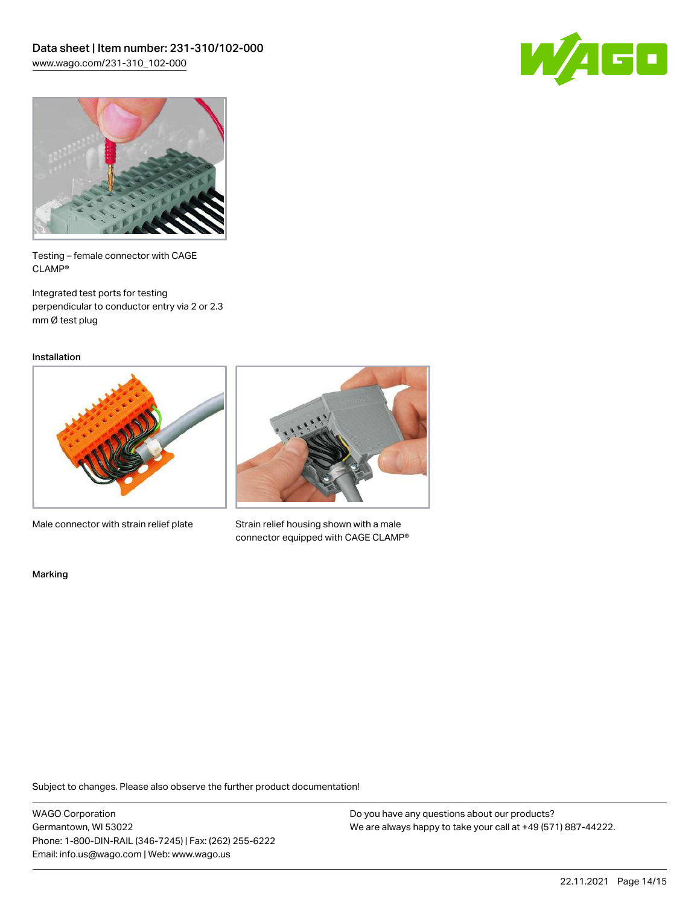



Testing – female connector with CAGE CLAMP®

Integrated test ports for testing perpendicular to conductor entry via 2 or 2.3 mm Ø test plug

Installation



Male connector with strain relief plate



Strain relief housing shown with a male connector equipped with CAGE CLAMP®

Marking

Subject to changes. Please also observe the further product documentation!

WAGO Corporation Germantown, WI 53022 Phone: 1-800-DIN-RAIL (346-7245) | Fax: (262) 255-6222 Email: info.us@wago.com | Web: www.wago.us